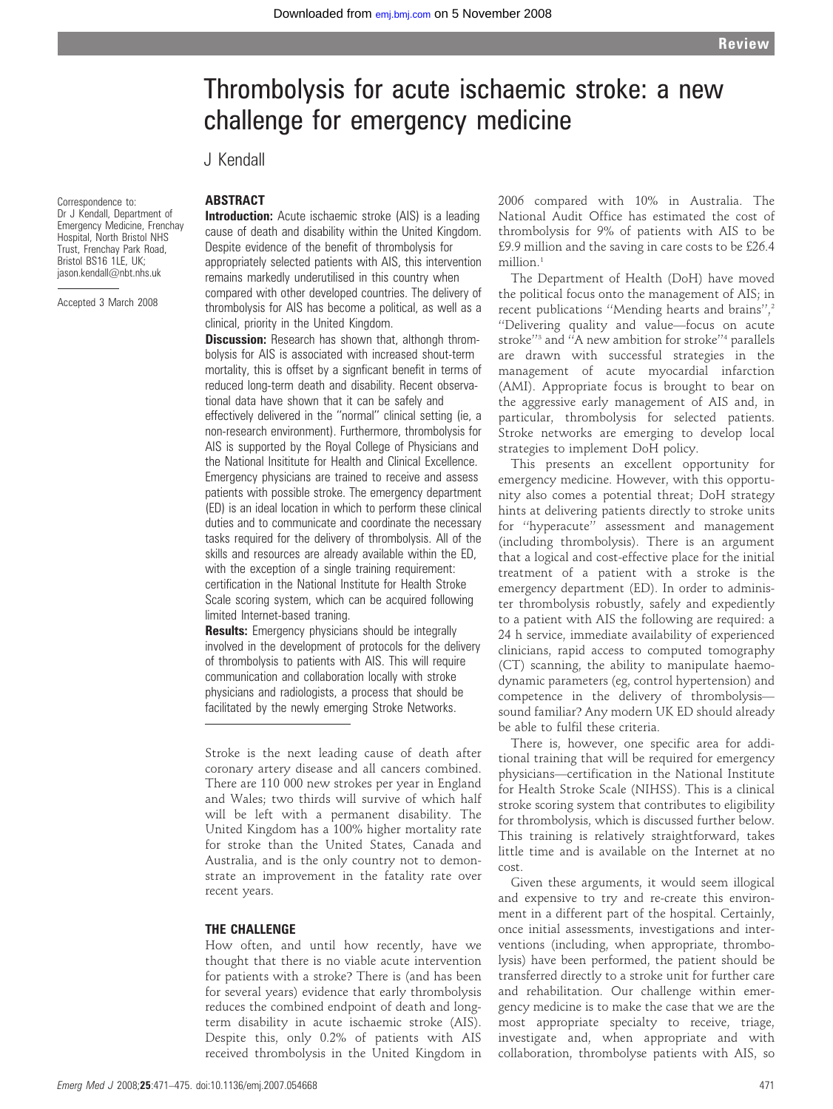# Thrombolysis for acute ischaemic stroke: a new challenge for emergency medicine

J Kendall

Correspondence to: Dr J Kendall, Department of Emergency Medicine, Frenchay Hospital, North Bristol NHS Trust, Frenchay Park Road, Bristol BS16 1LE, UK; jason.kendall@nbt.nhs.uk

Accepted 3 March 2008

## ABSTRACT

**Introduction:** Acute ischaemic stroke (AIS) is a leading cause of death and disability within the United Kingdom. Despite evidence of the benefit of thrombolysis for appropriately selected patients with AIS, this intervention remains markedly underutilised in this country when compared with other developed countries. The delivery of thrombolysis for AIS has become a political, as well as a clinical, priority in the United Kingdom.

**Discussion:** Research has shown that, althongh thrombolysis for AIS is associated with increased shout-term mortality, this is offset by a signficant benefit in terms of reduced long-term death and disability. Recent observational data have shown that it can be safely and effectively delivered in the ''normal'' clinical setting (ie, a non-research environment). Furthermore, thrombolysis for AIS is supported by the Royal College of Physicians and the National Insititute for Health and Clinical Excellence. Emergency physicians are trained to receive and assess patients with possible stroke. The emergency department (ED) is an ideal location in which to perform these clinical duties and to communicate and coordinate the necessary tasks required for the delivery of thrombolysis. All of the skills and resources are already available within the ED, with the exception of a single training requirement: certification in the National Institute for Health Stroke Scale scoring system, which can be acquired following limited Internet-based traning.

**Results:** Emergency physicians should be integrally involved in the development of protocols for the delivery of thrombolysis to patients with AIS. This will require communication and collaboration locally with stroke physicians and radiologists, a process that should be facilitated by the newly emerging Stroke Networks.

Stroke is the next leading cause of death after coronary artery disease and all cancers combined. There are 110 000 new strokes per year in England and Wales; two thirds will survive of which half will be left with a permanent disability. The United Kingdom has a 100% higher mortality rate for stroke than the United States, Canada and Australia, and is the only country not to demonstrate an improvement in the fatality rate over recent years.

## THE CHALLENGE

How often, and until how recently, have we thought that there is no viable acute intervention for patients with a stroke? There is (and has been for several years) evidence that early thrombolysis reduces the combined endpoint of death and longterm disability in acute ischaemic stroke (AIS). Despite this, only 0.2% of patients with AIS received thrombolysis in the United Kingdom in

2006 compared with 10% in Australia. The National Audit Office has estimated the cost of thrombolysis for 9% of patients with AIS to be £9.9 million and the saving in care costs to be £26.4 million.<sup>1</sup>

The Department of Health (DoH) have moved the political focus onto the management of AIS; in recent publications "Mending hearts and brains",<sup>2</sup> ''Delivering quality and value—focus on acute stroke''3 and ''A new ambition for stroke''4 parallels are drawn with successful strategies in the management of acute myocardial infarction (AMI). Appropriate focus is brought to bear on the aggressive early management of AIS and, in particular, thrombolysis for selected patients. Stroke networks are emerging to develop local strategies to implement DoH policy.

This presents an excellent opportunity for emergency medicine. However, with this opportunity also comes a potential threat; DoH strategy hints at delivering patients directly to stroke units for ''hyperacute'' assessment and management (including thrombolysis). There is an argument that a logical and cost-effective place for the initial treatment of a patient with a stroke is the emergency department (ED). In order to administer thrombolysis robustly, safely and expediently to a patient with AIS the following are required: a 24 h service, immediate availability of experienced clinicians, rapid access to computed tomography (CT) scanning, the ability to manipulate haemodynamic parameters (eg, control hypertension) and competence in the delivery of thrombolysis sound familiar? Any modern UK ED should already be able to fulfil these criteria.

There is, however, one specific area for additional training that will be required for emergency physicians—certification in the National Institute for Health Stroke Scale (NIHSS). This is a clinical stroke scoring system that contributes to eligibility for thrombolysis, which is discussed further below. This training is relatively straightforward, takes little time and is available on the Internet at no cost.

Given these arguments, it would seem illogical and expensive to try and re-create this environment in a different part of the hospital. Certainly, once initial assessments, investigations and interventions (including, when appropriate, thrombolysis) have been performed, the patient should be transferred directly to a stroke unit for further care and rehabilitation. Our challenge within emergency medicine is to make the case that we are the most appropriate specialty to receive, triage, investigate and, when appropriate and with collaboration, thrombolyse patients with AIS, so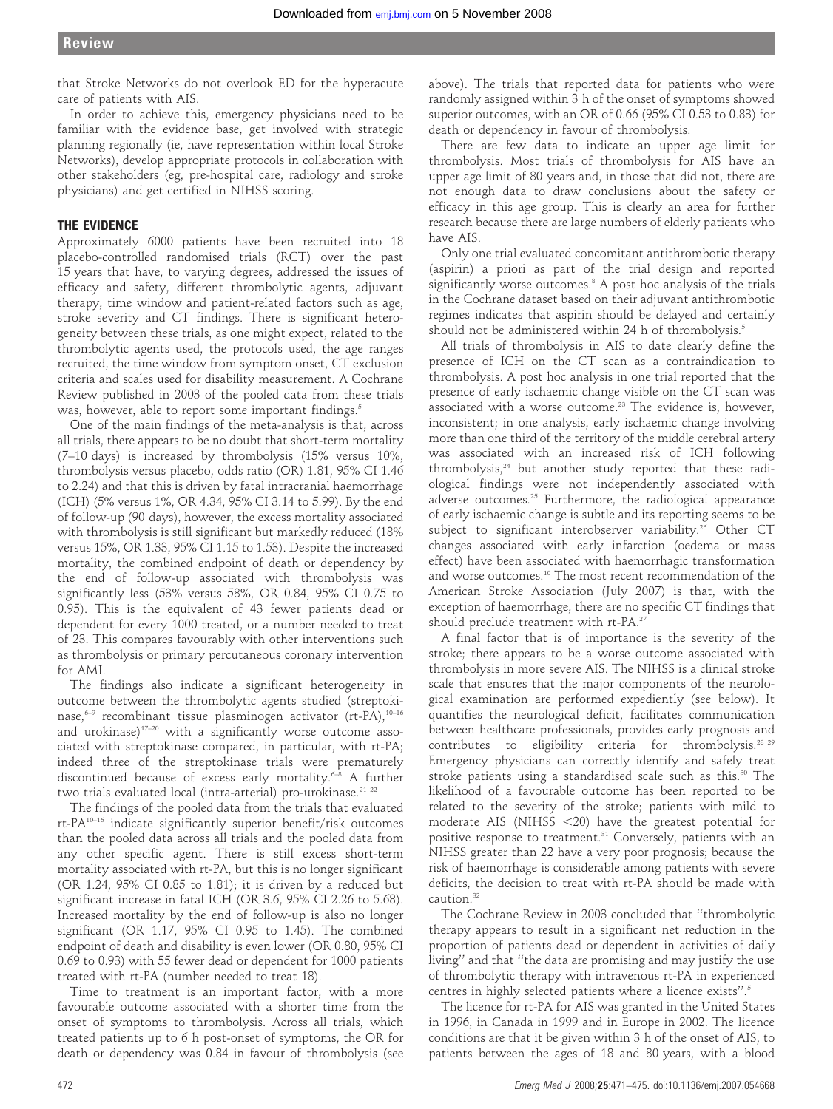that Stroke Networks do not overlook ED for the hyperacute care of patients with AIS.

In order to achieve this, emergency physicians need to be familiar with the evidence base, get involved with strategic planning regionally (ie, have representation within local Stroke Networks), develop appropriate protocols in collaboration with other stakeholders (eg, pre-hospital care, radiology and stroke physicians) and get certified in NIHSS scoring.

## THE EVIDENCE

Approximately 6000 patients have been recruited into 18 placebo-controlled randomised trials (RCT) over the past 15 years that have, to varying degrees, addressed the issues of efficacy and safety, different thrombolytic agents, adjuvant therapy, time window and patient-related factors such as age, stroke severity and CT findings. There is significant heterogeneity between these trials, as one might expect, related to the thrombolytic agents used, the protocols used, the age ranges recruited, the time window from symptom onset, CT exclusion criteria and scales used for disability measurement. A Cochrane Review published in 2003 of the pooled data from these trials was, however, able to report some important findings.<sup>5</sup>

One of the main findings of the meta-analysis is that, across all trials, there appears to be no doubt that short-term mortality (7–10 days) is increased by thrombolysis (15% versus 10%, thrombolysis versus placebo, odds ratio (OR) 1.81, 95% CI 1.46 to 2.24) and that this is driven by fatal intracranial haemorrhage (ICH) (5% versus 1%, OR 4.34, 95% CI 3.14 to 5.99). By the end of follow-up (90 days), however, the excess mortality associated with thrombolysis is still significant but markedly reduced (18% versus 15%, OR 1.33, 95% CI 1.15 to 1.53). Despite the increased mortality, the combined endpoint of death or dependency by the end of follow-up associated with thrombolysis was significantly less (53% versus 58%, OR 0.84, 95% CI 0.75 to 0.95). This is the equivalent of 43 fewer patients dead or dependent for every 1000 treated, or a number needed to treat of 23. This compares favourably with other interventions such as thrombolysis or primary percutaneous coronary intervention for AMI.

The findings also indicate a significant heterogeneity in outcome between the thrombolytic agents studied (streptokinase, $6-9$  recombinant tissue plasminogen activator (rt-PA), $10-16$ and urokinase) $17-20$  with a significantly worse outcome associated with streptokinase compared, in particular, with rt-PA; indeed three of the streptokinase trials were prematurely discontinued because of excess early mortality.<sup>6-8</sup> A further two trials evaluated local (intra-arterial) pro-urokinase.<sup>21 22</sup>

The findings of the pooled data from the trials that evaluated rt-PA10–16 indicate significantly superior benefit/risk outcomes than the pooled data across all trials and the pooled data from any other specific agent. There is still excess short-term mortality associated with rt-PA, but this is no longer significant (OR 1.24, 95% CI 0.85 to 1.81); it is driven by a reduced but significant increase in fatal ICH (OR 3.6, 95% CI 2.26 to 5.68). Increased mortality by the end of follow-up is also no longer significant (OR 1.17, 95% CI 0.95 to 1.45). The combined endpoint of death and disability is even lower (OR 0.80, 95% CI 0.69 to 0.93) with 55 fewer dead or dependent for 1000 patients treated with rt-PA (number needed to treat 18).

Time to treatment is an important factor, with a more favourable outcome associated with a shorter time from the onset of symptoms to thrombolysis. Across all trials, which treated patients up to 6 h post-onset of symptoms, the OR for death or dependency was 0.84 in favour of thrombolysis (see

above). The trials that reported data for patients who were randomly assigned within 3 h of the onset of symptoms showed superior outcomes, with an OR of 0.66 (95% CI 0.53 to 0.83) for death or dependency in favour of thrombolysis.

There are few data to indicate an upper age limit for thrombolysis. Most trials of thrombolysis for AIS have an upper age limit of 80 years and, in those that did not, there are not enough data to draw conclusions about the safety or efficacy in this age group. This is clearly an area for further research because there are large numbers of elderly patients who have AIS.

Only one trial evaluated concomitant antithrombotic therapy (aspirin) a priori as part of the trial design and reported significantly worse outcomes.<sup>8</sup> A post hoc analysis of the trials in the Cochrane dataset based on their adjuvant antithrombotic regimes indicates that aspirin should be delayed and certainly should not be administered within 24 h of thrombolysis.<sup>5</sup>

All trials of thrombolysis in AIS to date clearly define the presence of ICH on the CT scan as a contraindication to thrombolysis. A post hoc analysis in one trial reported that the presence of early ischaemic change visible on the CT scan was associated with a worse outcome.<sup>23</sup> The evidence is, however, inconsistent; in one analysis, early ischaemic change involving more than one third of the territory of the middle cerebral artery was associated with an increased risk of ICH following thrombolysis, $24$  but another study reported that these radiological findings were not independently associated with adverse outcomes.25 Furthermore, the radiological appearance of early ischaemic change is subtle and its reporting seems to be subject to significant interobserver variability.<sup>26</sup> Other CT changes associated with early infarction (oedema or mass effect) have been associated with haemorrhagic transformation and worse outcomes.10 The most recent recommendation of the American Stroke Association (July 2007) is that, with the exception of haemorrhage, there are no specific CT findings that should preclude treatment with rt-PA.<sup>27</sup>

A final factor that is of importance is the severity of the stroke; there appears to be a worse outcome associated with thrombolysis in more severe AIS. The NIHSS is a clinical stroke scale that ensures that the major components of the neurological examination are performed expediently (see below). It quantifies the neurological deficit, facilitates communication between healthcare professionals, provides early prognosis and contributes to eligibility criteria for thrombolysis.28 29 Emergency physicians can correctly identify and safely treat stroke patients using a standardised scale such as this.<sup>30</sup> The likelihood of a favourable outcome has been reported to be related to the severity of the stroke; patients with mild to moderate AIS (NIHSS  $\langle 20 \rangle$  have the greatest potential for positive response to treatment.<sup>31</sup> Conversely, patients with an NIHSS greater than 22 have a very poor prognosis; because the risk of haemorrhage is considerable among patients with severe deficits, the decision to treat with rt-PA should be made with caution.32

The Cochrane Review in 2003 concluded that ''thrombolytic therapy appears to result in a significant net reduction in the proportion of patients dead or dependent in activities of daily living'' and that ''the data are promising and may justify the use of thrombolytic therapy with intravenous rt-PA in experienced centres in highly selected patients where a licence exists''.5

The licence for rt-PA for AIS was granted in the United States in 1996, in Canada in 1999 and in Europe in 2002. The licence conditions are that it be given within 3 h of the onset of AIS, to patients between the ages of 18 and 80 years, with a blood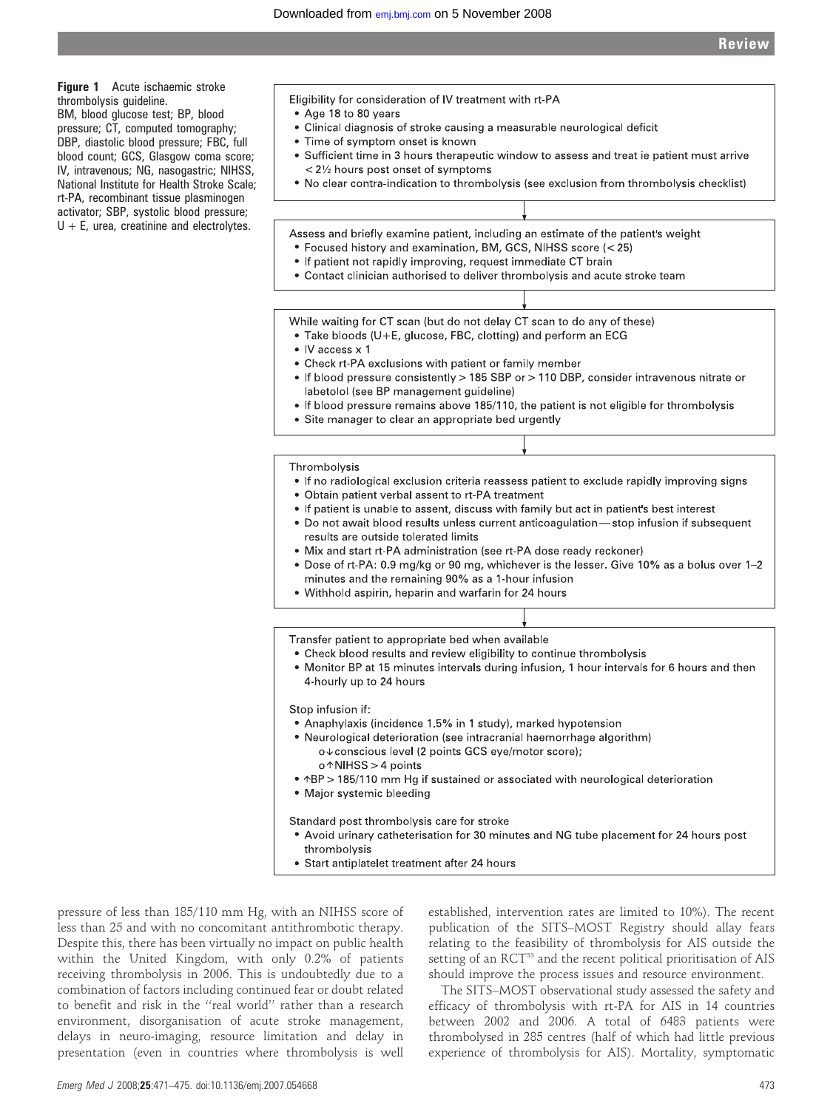Figure 1 Acute ischaemic stroke thrombolysis quideline.

BM, blood glucose test: BP, blood pressure; CT, computed tomography; DBP, diastolic blood pressure; FBC, full blood count; GCS, Glasgow coma score; IV, intravenous; NG, nasogastric; NIHSS, National Institute for Health Stroke Scale; rt-PA, recombinant tissue plasminogen activator; SBP, systolic blood pressure;  $U + E$ , urea, creatinine and electrolytes.

#### Eligibility for consideration of IV treatment with rt-PA

- Age 18 to 80 years
- Clinical diagnosis of stroke causing a measurable neurological deficit
- Time of symptom onset is known
- Sufficient time in 3 hours therapeutic window to assess and treat ie patient must arrive  $<$  2 $\frac{1}{2}$  hours post onset of symptoms
- . No clear contra-indication to thrombolysis (see exclusion from thrombolysis checklist)

Assess and briefly examine patient, including an estimate of the patient's weight

- Focused history and examination, BM, GCS, NIHSS score (< 25)
- If patient not rapidly improving, request immediate CT brain
- Contact clinician authorised to deliver thrombolysis and acute stroke team

While waiting for CT scan (but do not delay CT scan to do any of these)

- Take bloods (U+E, glucose, FBC, clotting) and perform an ECG
- $\bullet$  IV access x 1
- Check rt-PA exclusions with patient or family member
- . If blood pressure consistently > 185 SBP or > 110 DBP, consider intravenous nitrate or labetolol (see BP management guideline)
- If blood pressure remains above 185/110, the patient is not eligible for thrombolysis
- Site manager to clear an appropriate bed urgently

#### Thrombolvsis

- If no radiological exclusion criteria reassess patient to exclude rapidly improving signs
- Obtain patient verbal assent to rt-PA treatment
- . If patient is unable to assent, discuss with family but act in patient's best interest
- . Do not await blood results unless current anticoagulation—stop infusion if subsequent results are outside tolerated limits
- Mix and start rt-PA administration (see rt-PA dose ready reckoner)
- . Dose of rt-PA: 0.9 mg/kg or 90 mg, whichever is the lesser. Give 10% as a bolus over 1-2 minutes and the remaining 90% as a 1-hour infusion
- Withhold aspirin, heparin and warfarin for 24 hours

Transfer patient to appropriate bed when available

- Check blood results and review eligibility to continue thrombolysis
- Monitor BP at 15 minutes intervals during infusion, 1 hour intervals for 6 hours and then 4-hourly up to 24 hours

Stop infusion if:

- Anaphylaxis (incidence 1.5% in 1 study), marked hypotension
- Neurological deterioration (see intracranial haemorrhage algorithm) o↓ conscious level (2 points GCS eye/motor score); o ↑ NIHSS > 4 points
- ^BP > 185/110 mm Hg if sustained or associated with neurological deterioration
- · Major systemic bleeding

Standard post thrombolysis care for stroke

- Avoid urinary catheterisation for 30 minutes and NG tube placement for 24 hours post thrombolysis
- Start antiplatelet treatment after 24 hours

pressure of less than 185/110 mm Hg, with an NIHSS score of less than 25 and with no concomitant antithrombotic therapy. Despite this, there has been virtually no impact on public health within the United Kingdom, with only 0.2% of patients receiving thrombolysis in 2006. This is undoubtedly due to a combination of factors including continued fear or doubt related to benefit and risk in the "real world" rather than a research environment, disorganisation of acute stroke management, delays in neuro-imaging, resource limitation and delay in presentation (even in countries where thrombolysis is well

established, intervention rates are limited to 10%). The recent publication of the SITS-MOST Registry should allay fears relating to the feasibility of thrombolysis for AIS outside the setting of an RCT<sup>33</sup> and the recent political prioritisation of AIS should improve the process issues and resource environment.

The SITS-MOST observational study assessed the safety and efficacy of thrombolysis with rt-PA for AIS in 14 countries between 2002 and 2006. A total of 6483 patients were thrombolysed in 285 centres (half of which had little previous experience of thrombolysis for AIS). Mortality, symptomatic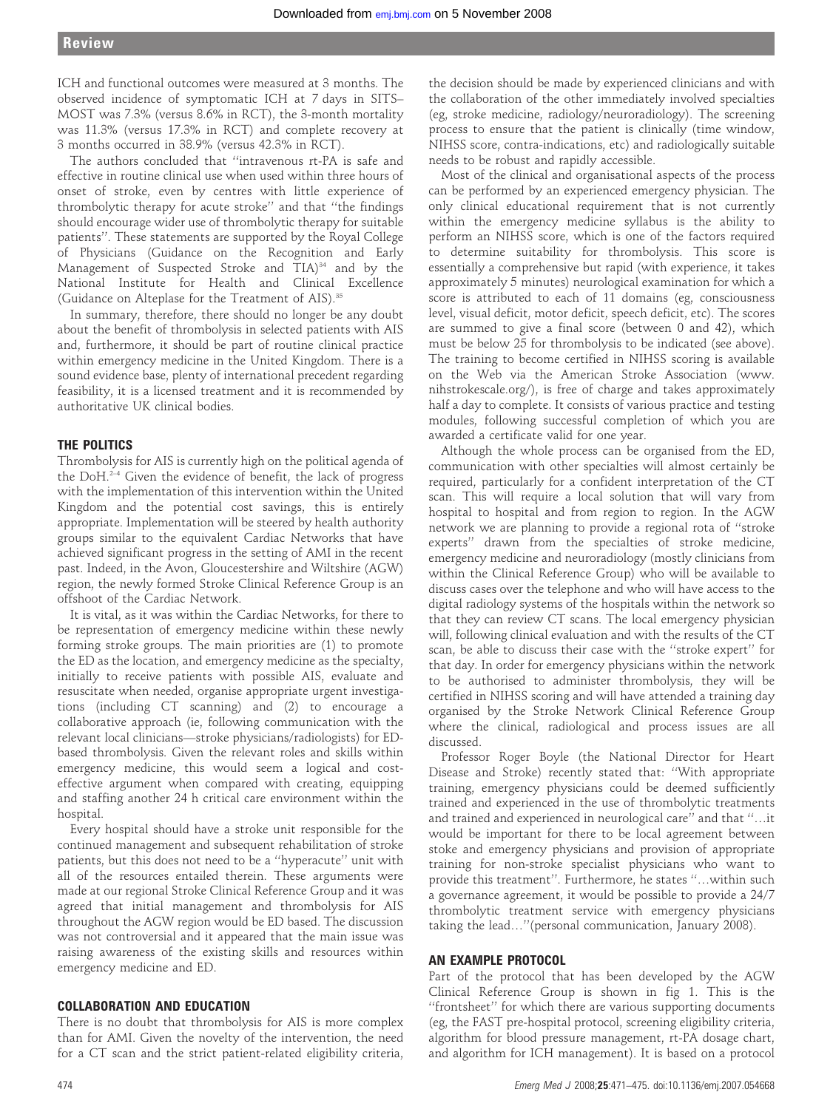## **Review**

ICH and functional outcomes were measured at 3 months. The observed incidence of symptomatic ICH at 7 days in SITS– MOST was 7.3% (versus 8.6% in RCT), the 3-month mortality was 11.3% (versus 17.3% in RCT) and complete recovery at 3 months occurred in 38.9% (versus 42.3% in RCT).

The authors concluded that ''intravenous rt-PA is safe and effective in routine clinical use when used within three hours of onset of stroke, even by centres with little experience of thrombolytic therapy for acute stroke'' and that ''the findings should encourage wider use of thrombolytic therapy for suitable patients''. These statements are supported by the Royal College of Physicians (Guidance on the Recognition and Early Management of Suspected Stroke and TIA)<sup>34</sup> and by the National Institute for Health and Clinical Excellence (Guidance on Alteplase for the Treatment of AIS).<sup>35</sup>

In summary, therefore, there should no longer be any doubt about the benefit of thrombolysis in selected patients with AIS and, furthermore, it should be part of routine clinical practice within emergency medicine in the United Kingdom. There is a sound evidence base, plenty of international precedent regarding feasibility, it is a licensed treatment and it is recommended by authoritative UK clinical bodies.

## THE POLITICS

Thrombolysis for AIS is currently high on the political agenda of the  $D \circ H^{2-4}$  Given the evidence of benefit, the lack of progress with the implementation of this intervention within the United Kingdom and the potential cost savings, this is entirely appropriate. Implementation will be steered by health authority groups similar to the equivalent Cardiac Networks that have achieved significant progress in the setting of AMI in the recent past. Indeed, in the Avon, Gloucestershire and Wiltshire (AGW) region, the newly formed Stroke Clinical Reference Group is an offshoot of the Cardiac Network.

It is vital, as it was within the Cardiac Networks, for there to be representation of emergency medicine within these newly forming stroke groups. The main priorities are (1) to promote the ED as the location, and emergency medicine as the specialty, initially to receive patients with possible AIS, evaluate and resuscitate when needed, organise appropriate urgent investigations (including CT scanning) and (2) to encourage a collaborative approach (ie, following communication with the relevant local clinicians—stroke physicians/radiologists) for EDbased thrombolysis. Given the relevant roles and skills within emergency medicine, this would seem a logical and costeffective argument when compared with creating, equipping and staffing another 24 h critical care environment within the hospital.

Every hospital should have a stroke unit responsible for the continued management and subsequent rehabilitation of stroke patients, but this does not need to be a ''hyperacute'' unit with all of the resources entailed therein. These arguments were made at our regional Stroke Clinical Reference Group and it was agreed that initial management and thrombolysis for AIS throughout the AGW region would be ED based. The discussion was not controversial and it appeared that the main issue was raising awareness of the existing skills and resources within emergency medicine and ED.

### COLLABORATION AND EDUCATION

There is no doubt that thrombolysis for AIS is more complex than for AMI. Given the novelty of the intervention, the need for a CT scan and the strict patient-related eligibility criteria,

the decision should be made by experienced clinicians and with the collaboration of the other immediately involved specialties (eg, stroke medicine, radiology/neuroradiology). The screening process to ensure that the patient is clinically (time window, NIHSS score, contra-indications, etc) and radiologically suitable needs to be robust and rapidly accessible.

Most of the clinical and organisational aspects of the process can be performed by an experienced emergency physician. The only clinical educational requirement that is not currently within the emergency medicine syllabus is the ability to perform an NIHSS score, which is one of the factors required to determine suitability for thrombolysis. This score is essentially a comprehensive but rapid (with experience, it takes approximately 5 minutes) neurological examination for which a score is attributed to each of 11 domains (eg, consciousness level, visual deficit, motor deficit, speech deficit, etc). The scores are summed to give a final score (between 0 and 42), which must be below 25 for thrombolysis to be indicated (see above). The training to become certified in NIHSS scoring is available on the Web via the American Stroke Association (www. nihstrokescale.org/), is free of charge and takes approximately half a day to complete. It consists of various practice and testing modules, following successful completion of which you are awarded a certificate valid for one year.

Although the whole process can be organised from the ED, communication with other specialties will almost certainly be required, particularly for a confident interpretation of the CT scan. This will require a local solution that will vary from hospital to hospital and from region to region. In the AGW network we are planning to provide a regional rota of ''stroke experts'' drawn from the specialties of stroke medicine, emergency medicine and neuroradiology (mostly clinicians from within the Clinical Reference Group) who will be available to discuss cases over the telephone and who will have access to the digital radiology systems of the hospitals within the network so that they can review CT scans. The local emergency physician will, following clinical evaluation and with the results of the CT scan, be able to discuss their case with the ''stroke expert'' for that day. In order for emergency physicians within the network to be authorised to administer thrombolysis, they will be certified in NIHSS scoring and will have attended a training day organised by the Stroke Network Clinical Reference Group where the clinical, radiological and process issues are all discussed.

Professor Roger Boyle (the National Director for Heart Disease and Stroke) recently stated that: ''With appropriate training, emergency physicians could be deemed sufficiently trained and experienced in the use of thrombolytic treatments and trained and experienced in neurological care'' and that ''…it would be important for there to be local agreement between stoke and emergency physicians and provision of appropriate training for non-stroke specialist physicians who want to provide this treatment''. Furthermore, he states ''…within such a governance agreement, it would be possible to provide a 24/7 thrombolytic treatment service with emergency physicians taking the lead…''(personal communication, January 2008).

### AN EXAMPLE PROTOCOL

Part of the protocol that has been developed by the AGW Clinical Reference Group is shown in fig 1. This is the ''frontsheet'' for which there are various supporting documents (eg, the FAST pre-hospital protocol, screening eligibility criteria, algorithm for blood pressure management, rt-PA dosage chart, and algorithm for ICH management). It is based on a protocol